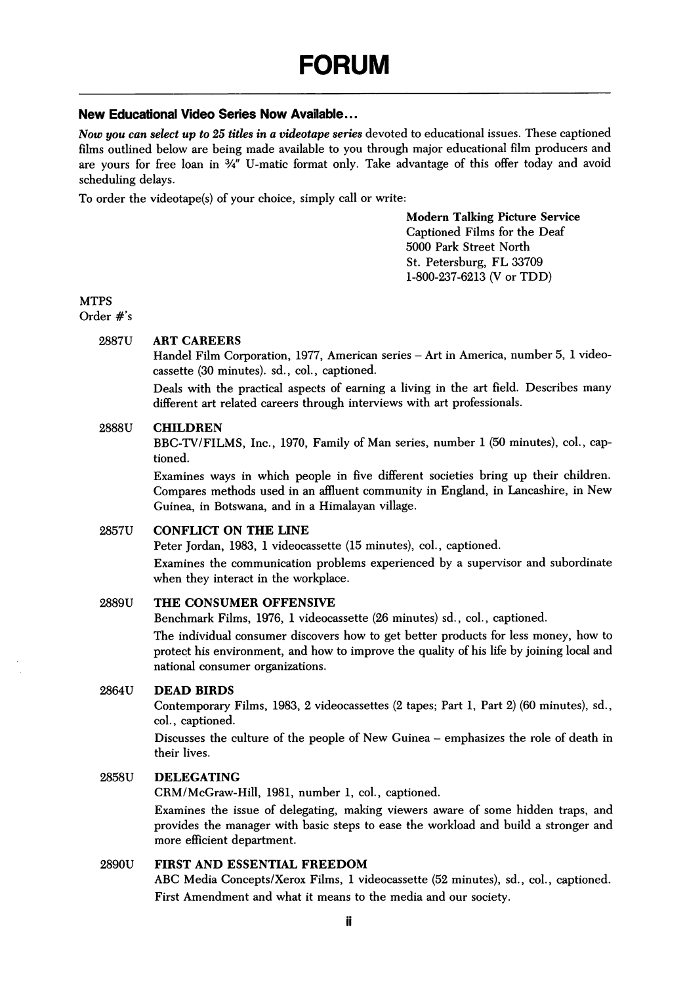# New Educational Video Series Now Available...

Now you can select up to 25 titles in a videotape series devoted to educational issues. These captioned films outlined below are being made available to you through major educational film producers and are yours for free loan in  $\frac{3}{4}$ " U-matic format only. Take advantage of this offer today and avoid scheduling delays.

To order the videotape(s) of your choice, simply call or write:

Modem Talking Picture Service Captioned Films for the Deaf 5000 Park Street North St. Petersburg, FL 33709 1-800-237-6213 (V or TDD)

# **MTPS**

Order #'s

### 2887U ART CAREERS

Handel Film Corporation, 1977, American series - Art in America, number 5, 1 videocassette (30 minutes), sd., col., captioned.

Deals with the practical aspects of earning a living in the art field. Describes many different art related careers through interviews with art professionals.

## 2888U CHILDREN

BBC-TV/FILMS, Inc., 1970, Family of Man series, number 1 (50 minutes), col., cap tioned.

Examines ways in which people in five different societies bring up their children. Compares methods used in an affluent community in England, in Lancashire, in New Guinea, in Botswana, and in a Himalayan village.

# 2857U CONFLICT ON THE LINE

Peter Jordan, 1983, 1 videocassette (15 minutes), col., captioned.

Examines the communication problems experienced by a supervisor and subordinate when they interact in the workplace.

### 2889U THE CONSUMER OFFENSIVE

Benchmark Films, 1976, 1 videocassette (26 minutes) sd., col., captioned.

The individual consumer discovers how to get better products for less money, how to protect his environment, and how to improve the quality of his life by joining local and national consumer organizations.

# 2864U DEAD BIRDS

Contemporary Films, 1983, 2 videocassettes (2 tapes; Part 1, Part 2) (60 minutes), sd., col., captioned.

Discusses the culture of the people of New Guinea - emphasizes the role of death in their lives.

#### 2858U DELEGATING

CRM/McGraw-Hill, 1981, number 1, col., captioned.

Examines the issue of delegating, making viewers aware of some hidden traps, and provides the manager with basic steps to ease the workload and build a stronger and more efficient department.

# 2890U FIRST AND ESSENTIAL FREEDOM

ABC Media Concepts/Xerox Films, 1 videocassette (52 minutes), sd., col., captioned. First Amendment and what it means to the media and our society.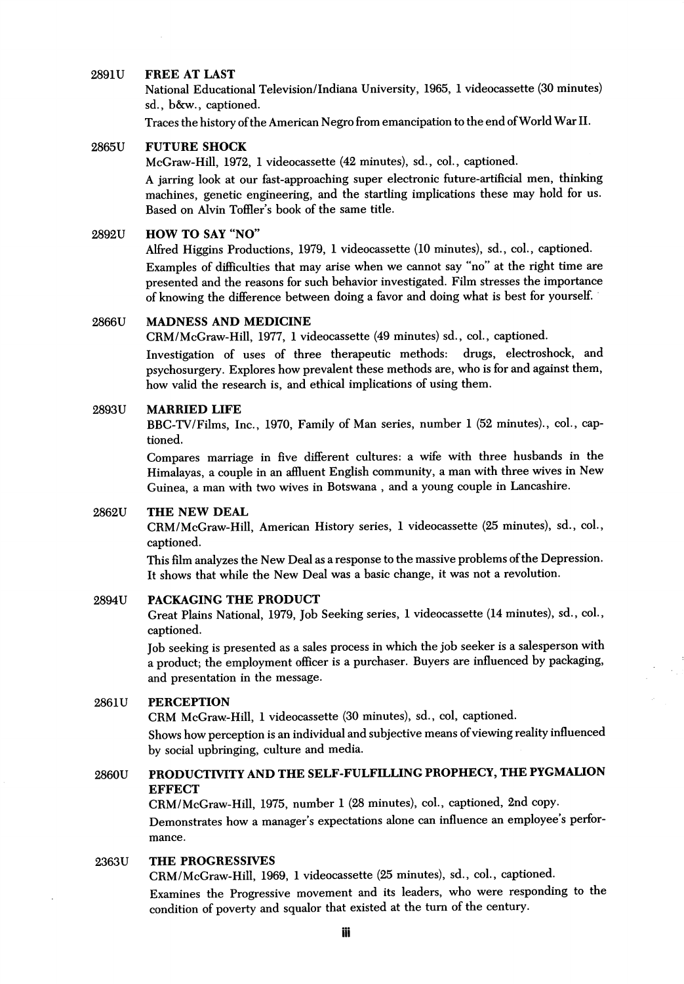#### 2891U FREE AT LAST

National Educational Television/Indiana University, 1965, 1 videocassette (30 minutes) sd., b&w., captioned.

Traces the history of the American Negro from emancipation to the end of World War II.

### 2865U FUTURE SHOCK

McGraw-Hill, 1972, 1 videocassette (42 minutes), sd., col., captioned.

A jarring look at our fast-approaching super electronic future-artificial men, thinking machines, genetic engineering, and the startling implications these may hold for us. Based on Alvin Toffler's book of the same title.

# 2892U HOW TO SAY "NO"

Alfred Higgins Productions, 1979, 1 videocassette (10 minutes), sd., col., captioned. Examples of difiiculties that may arise when we cannot say "no" at the right time are presented and the reasons for such behavior investigated. Film stresses the importance of knowing the difference between doing a favor and doing what is best for yourself.

# 2866U MADNESS AND MEDICINE

CRM/McGraw-Hill, 1977, 1 videocassette (49 minutes) sd., col., captioned.

Investigation of uses of three therapeutic methods: drugs, electroshock, and psychosurgery. Explores how prevalent these methods are, who is for and against them, how valid the research is, and ethical implications of using them.

#### 2893U MARRIED LIFE

BBG-TV/Films, Inc., 1970, Family of Man series, number 1 (52 minutes)., col., cap tioned.

Compares marriage in five different cultures: a wife with three husbands in the Himalayas, a couple in an affluent English community, a man with three wives in New Guinea, a man with two wives in Botswana , and a young couple in Lancashire.

#### 2862U THE NEW DEAL

CRM/McGraw-Hill, American History series, 1 videocassette (25 minutes), sd., col., captioned.

This film analyzes the New Deal as a response to the massive problems of the Depression. It shows that while the New Deal was a basic change, it was not a revolution.

# 2894U PACKAGING THE PRODUCT

Great Plains National, 1979, Job Seeking series, 1 videocassette (14 minutes), sd., col., captioned.

Job seeking is presented as a sales process in which the job seeker is a salesperson with a product; the employment officer is a purchaser. Buyers are influenced by packaging, and presentation in the message.

### 2861U PERCEPTION

CRM McGraw-Hill, 1 videocassette (30 minutes), sd., col, captioned.

Shows how perception is an individual and subjective means of viewing reality influenced by social upbringing, culture and media.

# 2860U PRODUCTIVITY AND THE SELF-FULFILLING PROPHECY, THE PYGMAUON **EFFECT**

CRM/McGraw-Hill, 1975, number 1 (28 minutes), col., captioned, 2nd copy. Demonstrates how a manager's expectations alone can influence an employee's performance.

# 2363U THE PROGRESSIVES

CRM/McGraw-Hill, 1969, 1 videocassette (25 minutes), sd., col., captioned.

Examines the Progressive movement and its leaders, who were responding to the condition of poverty and squalor that existed at the turn of the century.